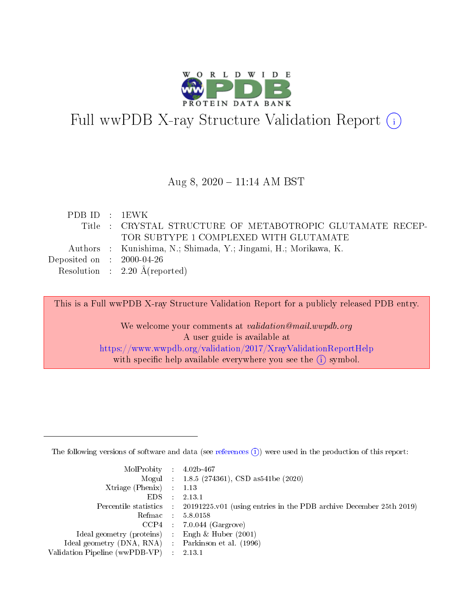

# Full wwPDB X-ray Structure Validation Report (i)

#### Aug 8, 2020 - 11:14 AM BST

| PDBID : 1EWK                |                                                                 |
|-----------------------------|-----------------------------------------------------------------|
|                             | Title : CRYSTAL STRUCTURE OF METABOTROPIC GLUTAMATE RECEP-      |
|                             | TOR SUBTYPE 1 COMPLEXED WITH GLUTAMATE                          |
|                             | Authors : Kunishima, N.; Shimada, Y.; Jingami, H.; Morikawa, K. |
| Deposited on : $2000-04-26$ |                                                                 |
|                             | Resolution : $2.20 \text{ Å}$ (reported)                        |

This is a Full wwPDB X-ray Structure Validation Report for a publicly released PDB entry.

We welcome your comments at validation@mail.wwpdb.org A user guide is available at <https://www.wwpdb.org/validation/2017/XrayValidationReportHelp> with specific help available everywhere you see the  $(i)$  symbol.

The following versions of software and data (see [references](https://www.wwpdb.org/validation/2017/XrayValidationReportHelp#references)  $(1)$ ) were used in the production of this report:

| $MolProbability$ : 4.02b-467                      |                              |                                                                                            |
|---------------------------------------------------|------------------------------|--------------------------------------------------------------------------------------------|
|                                                   |                              | Mogul : $1.8.5$ (274361), CSD as 541be (2020)                                              |
| Xtriage (Phenix) $: 1.13$                         |                              |                                                                                            |
| EDS.                                              | $\mathcal{L}$                | 2.13.1                                                                                     |
|                                                   |                              | Percentile statistics : 20191225.v01 (using entries in the PDB archive December 25th 2019) |
| Refmac : 5.8.0158                                 |                              |                                                                                            |
|                                                   |                              | $CCP4$ 7.0.044 (Gargrove)                                                                  |
| Ideal geometry (proteins)                         | $\mathcal{L}_{\mathrm{eff}}$ | Engh $\&$ Huber (2001)                                                                     |
| Ideal geometry (DNA, RNA) Parkinson et al. (1996) |                              |                                                                                            |
| Validation Pipeline (wwPDB-VP) : 2.13.1           |                              |                                                                                            |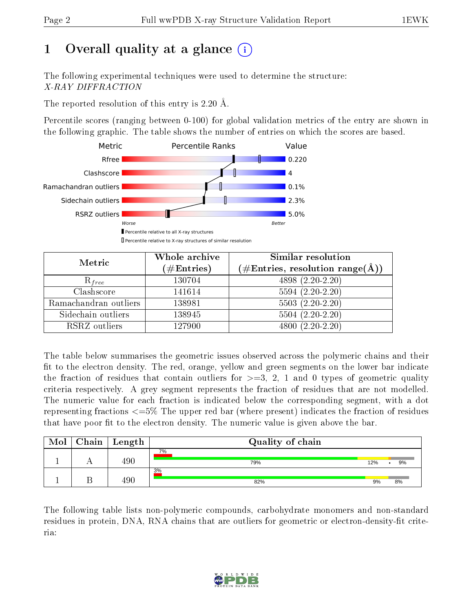## 1 [O](https://www.wwpdb.org/validation/2017/XrayValidationReportHelp#overall_quality)verall quality at a glance  $(i)$

The following experimental techniques were used to determine the structure: X-RAY DIFFRACTION

The reported resolution of this entry is 2.20 Å.

Percentile scores (ranging between 0-100) for global validation metrics of the entry are shown in the following graphic. The table shows the number of entries on which the scores are based.



| Metric                | Whole archive<br>$(\#\mathrm{Entries})$ | Similar resolution<br>$(\#\text{Entries},\,\text{resolution}\,\,\text{range}(\textup{\AA}))$ |
|-----------------------|-----------------------------------------|----------------------------------------------------------------------------------------------|
| $R_{free}$            | 130704                                  | $4898(2.20-2.20)$                                                                            |
| Clashscore            | 141614                                  | $5594(2.20-2.20)$                                                                            |
| Ramachandran outliers | 138981                                  | $5503(2.20-2.20)$                                                                            |
| Sidechain outliers    | 138945                                  | $5504(2.20-2.20)$                                                                            |
| RSRZ outliers         | 127900                                  | $4800(2.20-2.20)$                                                                            |

The table below summarises the geometric issues observed across the polymeric chains and their fit to the electron density. The red, orange, yellow and green segments on the lower bar indicate the fraction of residues that contain outliers for  $>=3, 2, 1$  and 0 types of geometric quality criteria respectively. A grey segment represents the fraction of residues that are not modelled. The numeric value for each fraction is indicated below the corresponding segment, with a dot representing fractions <=5% The upper red bar (where present) indicates the fraction of residues that have poor fit to the electron density. The numeric value is given above the bar.

| Mol | Chain | Length | Quality of chain |     |                 |
|-----|-------|--------|------------------|-----|-----------------|
|     |       | 490    | 7%<br>79%        | 12% | 9%<br>$\bullet$ |
|     |       | 490    | 3%<br>82%        | 9%  | 8%              |

The following table lists non-polymeric compounds, carbohydrate monomers and non-standard residues in protein, DNA, RNA chains that are outliers for geometric or electron-density-fit criteria:

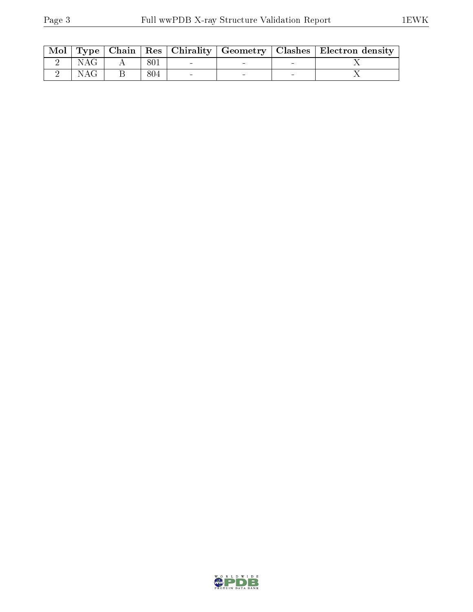|      |      |  | Mol   Type   Chain   Res   Chirality   Geometry   Clashes   Electron density |
|------|------|--|------------------------------------------------------------------------------|
| NAG  | -801 |  |                                                                              |
| NAG- | 804  |  |                                                                              |

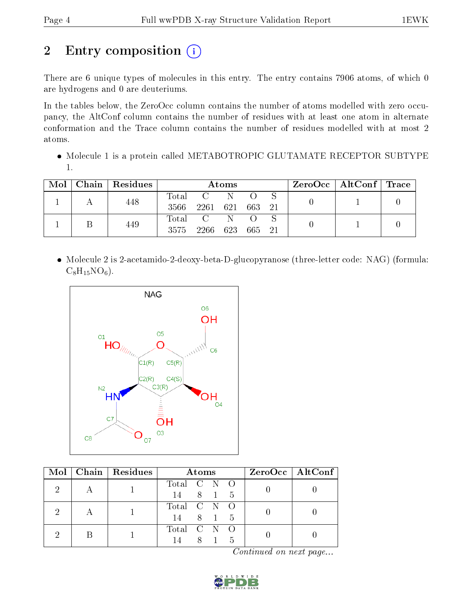## 2 Entry composition (i)

There are 6 unique types of molecules in this entry. The entry contains 7906 atoms, of which 0 are hydrogens and 0 are deuteriums.

In the tables below, the ZeroOcc column contains the number of atoms modelled with zero occupancy, the AltConf column contains the number of residues with at least one atom in alternate conformation and the Trace column contains the number of residues modelled with at most 2 atoms.

 Molecule 1 is a protein called METABOTROPIC GLUTAMATE RECEPTOR SUBTYPE 1.

| Mol | Chain Residues |                          |                                           | Atoms |        |  | $\text{ZeroOcc}$   AltConf   Trace |  |
|-----|----------------|--------------------------|-------------------------------------------|-------|--------|--|------------------------------------|--|
|     | 448            | $\mathrm{Total}$<br>3566 | $\mathbf{C}$ and $\mathbf{C}$<br>2261 621 |       | 663 21 |  |                                    |  |
|     | 449            | 3575                     | Total C<br>2266                           | 623   | 665 21 |  |                                    |  |

• Molecule 2 is 2-acetamido-2-deoxy-beta-D-glucopyranose (three-letter code: NAG) (formula:  $C_8H_{15}NO_6$ .



| Mol | Chain   Residues | Atoms                           | $ZeroOcc \mid AltConf \mid$ |
|-----|------------------|---------------------------------|-----------------------------|
|     |                  | Total C N O<br>8 1 5<br>14      |                             |
|     |                  | Total C N O<br>14 8 1 5         |                             |
|     |                  | Total C N O<br>8 1<br>- 5<br>14 |                             |

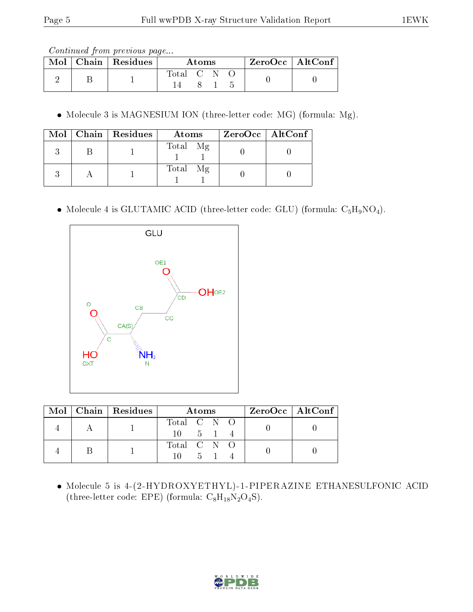|  |             | $ZeroOcc \mid AltConf \mid$<br>A toms |  |  |  |
|--|-------------|---------------------------------------|--|--|--|
|  | Total C N O |                                       |  |  |  |

Molecule 3 is MAGNESIUM ION (three-letter code: MG) (formula: Mg).

|  | $\text{Mol}$   Chain   Residues | Atoms    | $ZeroOcc \   \ AltConf \  $ |
|--|---------------------------------|----------|-----------------------------|
|  |                                 | Total Mg |                             |
|  |                                 | Total Mg |                             |

• Molecule 4 is GLUTAMIC ACID (three-letter code: GLU) (formula:  $C_5H_9NO_4$ ).



|  | Mol   Chain   Residues |                                    | <b>Atoms</b> |  | $ZeroOcc \   \$ AltConf |
|--|------------------------|------------------------------------|--------------|--|-------------------------|
|  |                        | Total C N O<br>$10 \t 5 \t 1 \t 4$ |              |  |                         |
|  |                        | Total C N O                        | - 5 -        |  |                         |

 Molecule 5 is 4-(2-HYDROXYETHYL)-1-PIPERAZINE ETHANESULFONIC ACID (three-letter code: EPE) (formula:  $C_8H_{18}N_2O_4S$ ).

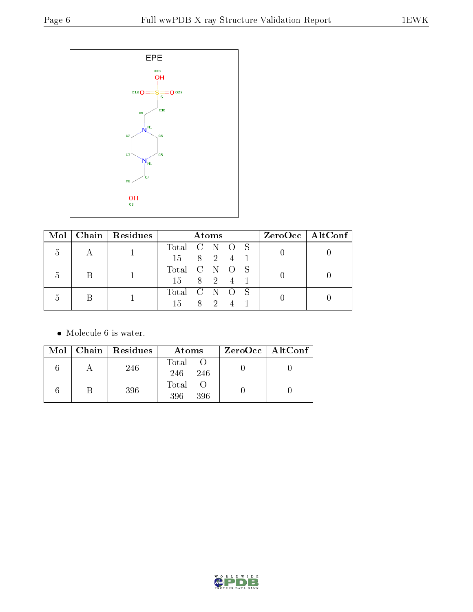

| $\bf{Mol}$ |               | $\mid$ Chain $\mid$ Residues |               | <b>Atoms</b> |  | ZeroOcc   AltConf |
|------------|---------------|------------------------------|---------------|--------------|--|-------------------|
| h,         |               |                              | Total C N O S |              |  |                   |
|            |               |                              | 15 8 2 4 1    |              |  |                   |
|            |               |                              | Total C N O S |              |  |                   |
|            | $\mathcal{D}$ |                              | 15 8 2 4 1    |              |  |                   |
|            |               |                              | Total C N O S |              |  |                   |
|            |               |                              | 15.           | 8 2 4 1      |  |                   |

• Molecule 6 is water.

|  | Mol   Chain   Residues | Atoms                 | $ZeroOcc \mid AltConf \mid$ |
|--|------------------------|-----------------------|-----------------------------|
|  | 246                    | Total O<br>246<br>246 |                             |
|  | 396                    | Total O<br>396<br>396 |                             |

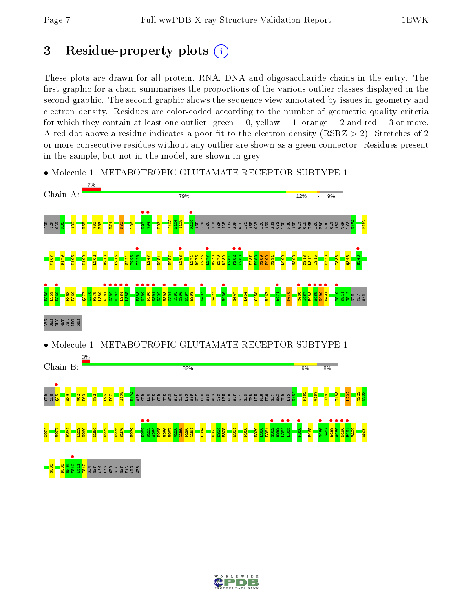## 3 Residue-property plots  $(i)$

These plots are drawn for all protein, RNA, DNA and oligosaccharide chains in the entry. The first graphic for a chain summarises the proportions of the various outlier classes displayed in the second graphic. The second graphic shows the sequence view annotated by issues in geometry and electron density. Residues are color-coded according to the number of geometric quality criteria for which they contain at least one outlier: green  $= 0$ , yellow  $= 1$ , orange  $= 2$  and red  $= 3$  or more. A red dot above a residue indicates a poor fit to the electron density ( $\text{RSRZ} > 2$ ). Stretches of 2 or more consecutive residues without any outlier are shown as a green connector. Residues present in the sample, but not in the model, are shown in grey.



• Molecule 1: METABOTROPIC GLUTAMATE RECEPTOR SUBTYPE 1

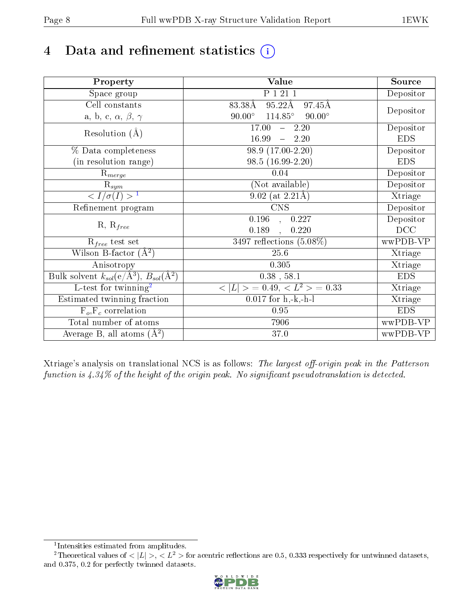## 4 Data and refinement statistics  $(i)$

| Property                                                   | Value                                            | Source     |
|------------------------------------------------------------|--------------------------------------------------|------------|
| Space group                                                | P 1 21 1                                         | Depositor  |
| Cell constants                                             | $95.22\text{\AA}$<br>83.38Å<br>97.45Å            |            |
| a, b, c, $\alpha$ , $\beta$ , $\gamma$                     | $114.85^\circ$<br>$90.00^\circ$<br>$90.00^\circ$ | Depositor  |
| Resolution $(A)$                                           | 17.00<br>$-2.20$                                 | Depositor  |
|                                                            | 16.99<br>2.20<br>$\frac{1}{2}$                   | <b>EDS</b> |
| % Data completeness                                        | 98.9 (17.00-2.20)                                | Depositor  |
| (in resolution range)                                      | 98.5 (16.99-2.20)                                | <b>EDS</b> |
| $R_{merge}$                                                | 0.04                                             | Depositor  |
| $\mathrm{R}_{sym}$                                         | (Not available)                                  | Depositor  |
| $\langle I/\sigma(I) \rangle^{-1}$                         | $9.02$ (at 2.21Å)                                | Xtriage    |
| Refinement program                                         | <b>CNS</b>                                       | Depositor  |
|                                                            | 0.196<br>0.227<br>$\mathbf{A}$                   | Depositor  |
| $R, R_{free}$                                              | 0.189<br>0.220                                   | DCC        |
| $R_{free}$ test set                                        | $3497$ reflections $(5.08\%)$                    | wwPDB-VP   |
| Wilson B-factor $(A^2)$                                    | 25.6                                             | Xtriage    |
| Anisotropy                                                 | 0.305                                            | Xtriage    |
| Bulk solvent $k_{sol}$ (e/Å <sup>3</sup> ), $B_{sol}(A^2)$ | $0.38$ , $58.1$                                  | <b>EDS</b> |
| $\overline{L-test for}$ twinning <sup>2</sup>              | $< L >$ = 0.49, $< L2$ = 0.33                    | Xtriage    |
| Estimated twinning fraction                                | $0.017$ for h,-k,-h-l                            | Xtriage    |
| $F_o, F_c$ correlation                                     | 0.95                                             | <b>EDS</b> |
| Total number of atoms                                      | 7906                                             | wwPDB-VP   |
| Average B, all atoms $(A^2)$                               | 37.0                                             | wwPDB-VP   |

Xtriage's analysis on translational NCS is as follows: The largest off-origin peak in the Patterson function is  $4.34\%$  of the height of the origin peak. No significant pseudotranslation is detected.

<sup>&</sup>lt;sup>2</sup>Theoretical values of  $\langle |L| \rangle$ ,  $\langle L^2 \rangle$  for acentric reflections are 0.5, 0.333 respectively for untwinned datasets, and 0.375, 0.2 for perfectly twinned datasets.



<span id="page-7-1"></span><span id="page-7-0"></span><sup>1</sup> Intensities estimated from amplitudes.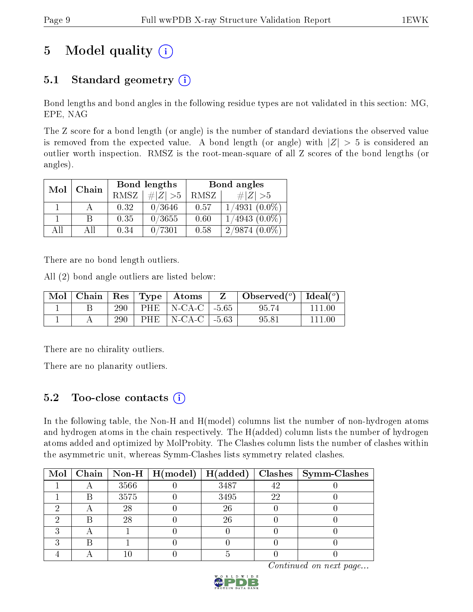## 5 Model quality  $(i)$

### 5.1 Standard geometry  $(i)$

Bond lengths and bond angles in the following residue types are not validated in this section: MG, EPE, NAG

The Z score for a bond length (or angle) is the number of standard deviations the observed value is removed from the expected value. A bond length (or angle) with  $|Z| > 5$  is considered an outlier worth inspection. RMSZ is the root-mean-square of all Z scores of the bond lengths (or angles).

| Mol<br>Chain |     | Bond lengths |             | Bond angles |                    |
|--------------|-----|--------------|-------------|-------------|--------------------|
|              |     | <b>RMSZ</b>  | $\# Z  > 5$ | RMSZ        | # $ Z  > 5$        |
|              |     | 0.32         | 0/3646      | 0.57        | $1/4931$ $(0.0\%)$ |
|              | B   | 0.35         | 0/3655      | 0.60        | $1/4943(0.0\%)$    |
| AH           | Аll | 0.34         | 0/7301      | 0.58        | $2/9874(0.0\%)$    |

There are no bond length outliers.

All (2) bond angle outliers are listed below:

| Mol |     |      | Chain   Res   Type   Atoms   | Observed( $^{\circ}$ )   Ideal( $^{\circ}$ ) |  |
|-----|-----|------|------------------------------|----------------------------------------------|--|
|     | 290 |      | PHE   N-CA-C $\vert$ -5.65   | 95.74                                        |  |
|     | 290 | PHE. | $\vert$ N-CA-C $\vert$ -5.63 | 95.81                                        |  |

There are no chirality outliers.

There are no planarity outliers.

### 5.2 Too-close contacts  $\overline{a}$

In the following table, the Non-H and H(model) columns list the number of non-hydrogen atoms and hydrogen atoms in the chain respectively. The H(added) column lists the number of hydrogen atoms added and optimized by MolProbity. The Clashes column lists the number of clashes within the asymmetric unit, whereas Symm-Clashes lists symmetry related clashes.

|  |      | Mol   Chain   Non-H   H(model)   H(added) |      |    | $Clashes$   Symm-Clashes |
|--|------|-------------------------------------------|------|----|--------------------------|
|  | 3566 |                                           | 3487 | 42 |                          |
|  | 3575 |                                           | 3495 | 22 |                          |
|  | 28   |                                           | 26   |    |                          |
|  | 28   |                                           | 26   |    |                          |
|  |      |                                           |      |    |                          |
|  |      |                                           |      |    |                          |
|  |      |                                           |      |    |                          |

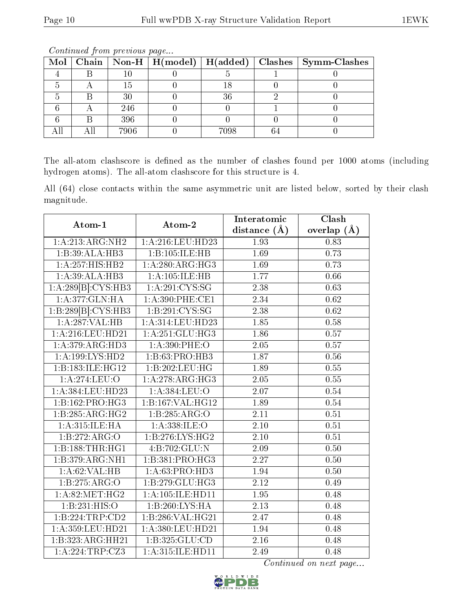|  |      |      | Mol   Chain   Non-H   H(model)   H(added)   Clashes   Symm-Clashes |
|--|------|------|--------------------------------------------------------------------|
|  |      |      |                                                                    |
|  | 15   |      |                                                                    |
|  |      | 36   |                                                                    |
|  | 246  |      |                                                                    |
|  | 396  |      |                                                                    |
|  | 7906 | 7098 |                                                                    |

The all-atom clashscore is defined as the number of clashes found per 1000 atoms (including hydrogen atoms). The all-atom clashscore for this structure is 4.

All (64) close contacts within the same asymmetric unit are listed below, sorted by their clash magnitude.

| $Atom-1$             | Atom-2               | Interatomic       | Clash             |
|----------------------|----------------------|-------------------|-------------------|
|                      |                      | distance $(A)$    | overlap $(A)$     |
| 1:A:213:ARG:NH2      | 1:A:216:LEU:HD23     | 1.93              | 0.83              |
| 1:B:39:ALA:HB3       | 1:B:105:ILE:HB       | 1.69              | 0.73              |
| 1: A:257: HIS: HB2   | 1: A:280:ARG:HG3     | 1.69              | 0.73              |
| 1:A:39:ALA:HB3       | 1:A:105:ILE:HB       | 1.77              | 0.66              |
| 1:A:289[B]:CYS:HB3   | 1: A:291: CYS:SG     | 2.38              | 0.63              |
| 1: A:377: GLN: HA    | 1: A:390: PHE:CE1    | 2.34              | $\overline{0.62}$ |
| 1:B:289[B]:CYS:HB3   | 1:B:291:CYS:SG       | 2.38              | 0.62              |
| 1:A:287:VAL:HB       | 1:A:314:LEU:HD23     | 1.85              | 0.58              |
| 1:A:216:LEU:HD21     | 1:A:251:GLU:HG3      | 1.86              | 0.57              |
| 1: A:379:ARG:HD3     | 1:A:390:PHE:O        | 2.05              | 0.57              |
| 1: A:199: LYS: HD2   | 1:B:63:PRO:HB3       | 1.87              | 0.56              |
| 1:B:183:ILE:HG12     | 1:B:202:LEU:HG       | 1.89              | 0.55              |
| 1: A:274:LEU:O       | 1: A:278:ARG:HG3     | 2.05              | 0.55              |
| 1:A:384:LEU:HD23     | 1:A:384:LEU:O        | 2.07              | 0.54              |
| 1:B:162:PRO:HG3      | 1:B:167:VAL:HG12     | 1.89              | 0.54              |
| 1:B:285:ARG:HG2      | 1:B:285:ARG:O        | $\overline{2.11}$ | 0.51              |
| 1: A:315: ILE: HA    | 1: A: 338: ILE: O    | $2.10\,$          | 0.51              |
| 1: B: 272: ARG: O    | 1: B: 276: LYS: HG2  | $\overline{2.10}$ | $\overline{0.51}$ |
| 1:B:188:THR:HGI      | 4:B:702:GLU:N        | 2.09              | 0.50              |
| 1:B:379:ARG:NH1      | 1:B:381:PRO:HG3      | 2.27              | 0.50              |
| 1: A:62:VAL:HB       | 1:A:63:PRO:HD3       | 1.94              | 0.50              |
| 1:B:275:ARG:O        | 1:B:279:GLU:HG3      | 2.12              | 0.49              |
| 1: A:82: MET:HG2     | 1: A: 105: ILE: HD11 | $\overline{1.95}$ | 0.48              |
| 1:B:231:HIS:O        | 1:B:260:LYS:HA       | 2.13              | 0.48              |
| 1: B: 224: TRP: CD2  | 1:B:286:VAL:HG21     | 2.47              | 0.48              |
| 1: A: 359: LEU: HD21 | 1:A:380:LEU:HD21     | 1.94              | 0.48              |
| 1:B:323:ARG:HH21     | 1:B:325:GLU:CD       | 2.16              | 0.48              |
| 1:A:224:TRP:CZ3      | 1:A:315:ILE:HD11     | 2.49              | 0.48              |

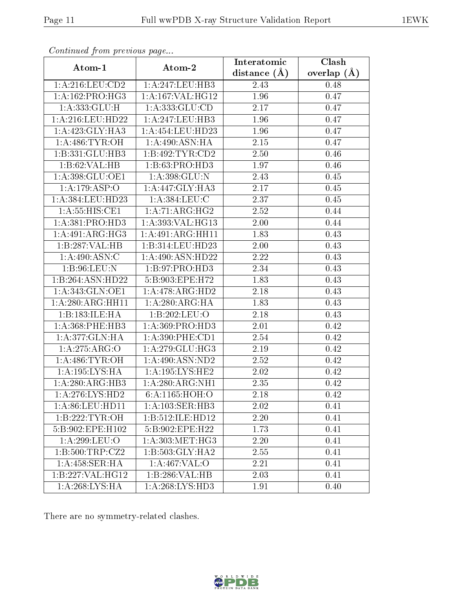|                     |                                     | Interatomic    | Clash         |
|---------------------|-------------------------------------|----------------|---------------|
| Atom-1              | Atom-2                              | distance $(A)$ | overlap $(A)$ |
| 1: A:216:LEU:CD2    | 1:A:247:LEU:HB3                     | 2.43           | 0.48          |
| 1: A: 162: PRO: HG3 | 1:A:167:VAL:HG12                    | 1.96           | 0.47          |
| 1: A: 333: GLU: H   | 1: A: 333: GLU: CD                  | 2.17           | 0.47          |
| 1: A:216:LEU:HD22   | 1: A:247:LEU:HB3                    | 1.96           | 0.47          |
| 1: A:423: GLY:HA3   | 1:A:454:LEU:HD23                    | 1.96           | 0.47          |
| 1: A:486: TYR:OH    | 1:A:490:ASN:HA                      | 2.15           | 0.47          |
| 1:B:331:GLU:HB3     | 1:B:492:TYR:CD2                     | 2.50           | 0.46          |
| 1:B:62:VAL:HB       | 1:B:63:PRO:H <sub>D3</sub>          | 1.97           | 0.46          |
| 1:A:398:GLU:OE1     | 1:A:398:GLU:N                       | 2.43           | 0.45          |
| 1:A:179:ASP:O       | 1:A:447:GLY:HA3                     | 2.17           | 0.45          |
| 1:A:384:LEU:HD23    | 1:A:384:LEU:C                       | 2.37           | 0.45          |
| 1: A: 55: HIS: CE1  | 1:A:71:ARG:HG2                      | 2.52           | 0.44          |
| 1: A:381: PRO:HD3   | 1:A:393:VAL:HG13                    | 2.00           | 0.44          |
| 1:A:491:ARG:HG3     | 1:A:491:ARG:HH11                    | 1.83           | 0.43          |
| 1:B:287:VAL:HB      | 1:B:314:LEU:HD23                    | 2.00           | 0.43          |
| 1: A:490:ASN:C      | 1:A:490:ASN:HD22                    | 2.22           | 0.43          |
| 1: B:96: LEU: N     | 1: B: 97: PRO: HD3                  | 2.34           | 0.43          |
| 1:B:264:ASN:HD22    | 5:B:903:EPE:H72                     | 1.83           | 0.43          |
| 1: A:343: GLN:OE1   | 1:A:478:ARG:HD2                     | 2.18           | 0.43          |
| 1:A:280:ARG:HH11    | 1:A:280:ARG:HA                      | 1.83           | 0.43          |
| 1:B:183:ILE:HA      | 1:B:202:LEU:O                       | 2.18           | 0.43          |
| 1: A: 368: PHE: HB3 | 1: A: 369: PRO: HD3                 | 2.01           | 0.42          |
| 1:A:377:GLN:HA      | 1: A:390: PHE:CD1                   | $2.54\,$       | 0.42          |
| 1: A:275: ARG:O     | 1: A:279: GLU:HG3                   | 2.19           | 0.42          |
| 1: A:486: TYR:OH    | 1: A:490:ASN:ND2                    | 2.52           | 0.42          |
| 1: A:195: LYS: HA   | 1: A: 195: LYS: HE2                 | 2.02           | 0.42          |
| 1:A:280:ARG:HB3     | 1:A:280:ARG:NH1                     | 2.35           | 0.42          |
| 1: A:276: LYS: HD2  | 6: A: 1165: HOH: O                  | 2.18           | 0.42          |
| 1: A:86: LEU: HD11  | 1:A:103:SER:HB3                     | 2.02           | 0.41          |
| 1:B:222:TYR:OH      | 1:B:512:ILE:HD12                    | 2.20           | 0.41          |
| 5:B:902:EPE:H102    | 5:B:902:EPE:H22                     | 1.73           | 0.41          |
| 1: A:299:LEU:O      | 1: A:303:MET:HG3                    | 2.20           | 0.41          |
| 1: B: 500: TRP: CZ2 | 1:B:503:GLY:HA2                     | 2.55           | 0.41          |
| 1:A:458:SER:HA      | 1: A:467: VAL:O                     | 2.21           | 0.41          |
| 1:B:227:VAL:HG12    | 1:B:286:VAL:HB                      | 2.03           | 0.41          |
| 1: A:268: LYS: HA   | $1:A:268:\overline{\text{LYS:HD3}}$ | 1.91           | 0.40          |

There are no symmetry-related clashes.

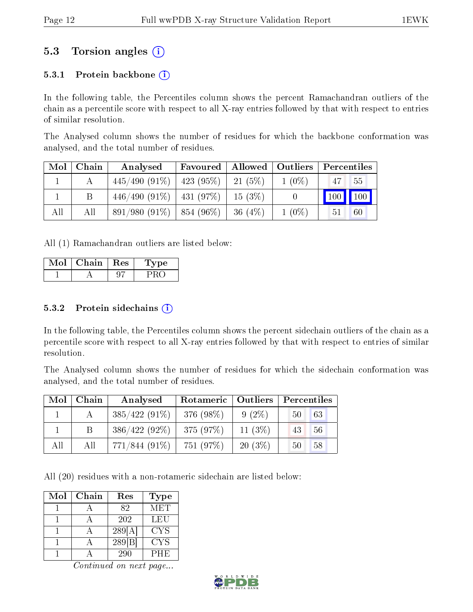### 5.3 Torsion angles (i)

#### 5.3.1 Protein backbone  $(i)$

In the following table, the Percentiles column shows the percent Ramachandran outliers of the chain as a percentile score with respect to all X-ray entries followed by that with respect to entries of similar resolution.

The Analysed column shows the number of residues for which the backbone conformation was analysed, and the total number of residues.

| Mol | Chain | Analysed                          | Favoured   Allowed   Outliers   Percentiles |           |          |    |         |
|-----|-------|-----------------------------------|---------------------------------------------|-----------|----------|----|---------|
|     |       | $445/490$ (91\%)   423 (95\%)     |                                             | 21 $(5%)$ | $1(0\%)$ | 47 | 55      |
|     |       | $446/490 (91\%)$   $431 (97\%)$   |                                             | $15(3\%)$ |          |    | 100 100 |
| All | All   | $891/980$ $(91\%)$   854 $(96\%)$ |                                             | $-36(4%)$ | $1(0\%)$ | 51 | 60      |

All (1) Ramachandran outliers are listed below:

| Mol | Chain | $\perp$ Res | Lype |
|-----|-------|-------------|------|
|     |       |             |      |

#### $5.3.2$  Protein sidechains  $(i)$

In the following table, the Percentiles column shows the percent sidechain outliers of the chain as a percentile score with respect to all X-ray entries followed by that with respect to entries of similar resolution.

The Analysed column shows the number of residues for which the sidechain conformation was analysed, and the total number of residues.

| Mol | Chain | Analysed        | Rotameric   Outliers |           | Percentiles |
|-----|-------|-----------------|----------------------|-----------|-------------|
|     |       | $385/422(91\%)$ | 376 (98%)            | $9(2\%)$  | 63<br>50    |
|     |       | $386/422(92\%)$ | 375(97%)             | 11 $(3%)$ | 56<br>43    |
| All | All   | $771/844(91\%)$ | 751 (97%)            | $20(3\%)$ | 58<br>50    |

All (20) residues with a non-rotameric sidechain are listed below:

| Mol | Chain | Res    | Type       |
|-----|-------|--------|------------|
|     |       | 82     | MET        |
|     |       | 202    | LEU        |
|     |       | 289[A] | <b>CYS</b> |
|     |       | 289 B  | <b>CYS</b> |
|     |       | 290    | PHE        |

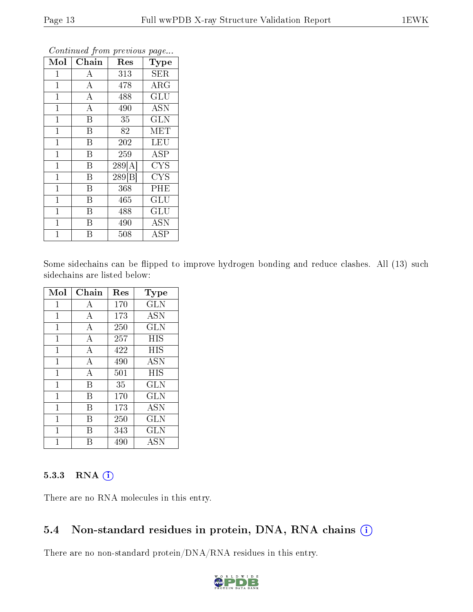| Mol            | Chain                   | Res    | Type                    |
|----------------|-------------------------|--------|-------------------------|
| $\mathbf{1}$   | A                       | 313    | <b>SER</b>              |
| $\mathbf{1}$   | $\boldsymbol{A}$        | 478    | $\rm{ARG}$              |
| $\mathbf{1}$   | $\overline{\rm A}$      | 488    | $\overline{\text{GLU}}$ |
| $\mathbf{1}$   | $\boldsymbol{A}$        | 490    | <b>ASN</b>              |
| $\mathbf{1}$   | $\overline{\mathrm{B}}$ | 35     | <b>GLN</b>              |
| $\mathbf{1}$   | B                       | 82     | <b>MET</b>              |
| $\mathbf{1}$   | B                       | 202    | <b>LEU</b>              |
| $\mathbf{1}$   | B                       | 259    | ASP                     |
| $\mathbf 1$    | B                       | 289[A] | <b>CYS</b>              |
| $\overline{1}$ | B                       | 289 B  | CYS                     |
| $\mathbf{1}$   | B                       | 368    | PHE                     |
| $\mathbf{1}$   | B                       | 465    | GLU                     |
| $\mathbf{1}$   | B                       | 488    | GLU                     |
| $\mathbf 1$    | B                       | 490    | <b>ASN</b>              |
| $\overline{1}$ | B                       | 508    | $_{\rm ASP}$            |

Some sidechains can be flipped to improve hydrogen bonding and reduce clashes. All (13) such sidechains are listed below:

| Mol            | Chain | $\operatorname{Res}% \left( \mathcal{N}\right) \equiv\operatorname{Res}(\mathcal{N}_{0},\mathcal{N}_{0})$ | <b>Type</b>                        |
|----------------|-------|-----------------------------------------------------------------------------------------------------------|------------------------------------|
| 1              | A     | 170                                                                                                       | GLN                                |
| 1              | А     | 173                                                                                                       | <b>ASN</b>                         |
| $\overline{1}$ | А     | 250                                                                                                       | GLN                                |
| 1              | А     | 257                                                                                                       | HIS                                |
| $\mathbf{1}$   | А     | 422                                                                                                       | HIS                                |
| $\mathbf{1}$   | А     | 490                                                                                                       | $\overline{\mathrm{A}}\mathrm{SN}$ |
| 1              | A     | 501                                                                                                       | HIS                                |
| $\mathbf{1}$   | B     | 35                                                                                                        | GLN                                |
| 1              | В     | 170                                                                                                       | <b>GLN</b>                         |
| $\mathbf{1}$   | В     | 173                                                                                                       | <b>ASN</b>                         |
| 1              | В     | 250                                                                                                       | $_{\rm GLN}$                       |
| 1              | В     | 343                                                                                                       | <b>GLN</b>                         |
|                |       | 490                                                                                                       | ASN                                |

#### 5.3.3 RNA (i)

There are no RNA molecules in this entry.

#### 5.4 Non-standard residues in protein, DNA, RNA chains  $(i)$

There are no non-standard protein/DNA/RNA residues in this entry.

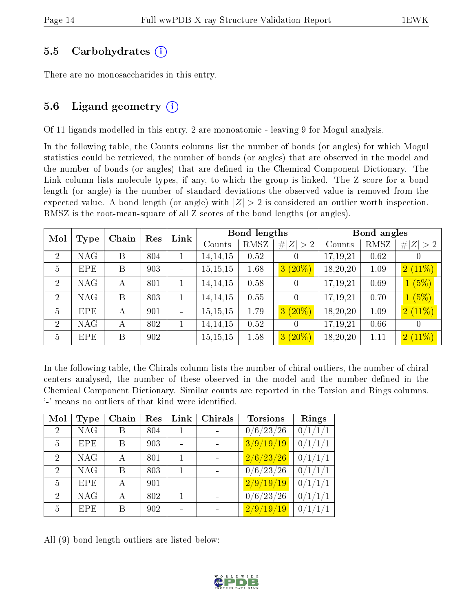#### 5.5 Carbohydrates (i)

There are no monosaccharides in this entry.

#### 5.6 Ligand geometry  $(i)$

Of 11 ligands modelled in this entry, 2 are monoatomic - leaving 9 for Mogul analysis.

In the following table, the Counts columns list the number of bonds (or angles) for which Mogul statistics could be retrieved, the number of bonds (or angles) that are observed in the model and the number of bonds (or angles) that are defined in the Chemical Component Dictionary. The Link column lists molecule types, if any, to which the group is linked. The Z score for a bond length (or angle) is the number of standard deviations the observed value is removed from the expected value. A bond length (or angle) with  $|Z| > 2$  is considered an outlier worth inspection. RMSZ is the root-mean-square of all Z scores of the bond lengths (or angles).

| Mol            | Chain<br>Res<br>Type |   | Link | Bond lengths |            |      | Bond angles      |          |      |                               |
|----------------|----------------------|---|------|--------------|------------|------|------------------|----------|------|-------------------------------|
|                |                      |   |      |              | Counts     | RMSZ | Z  > 2           | Counts   | RMSZ | Z >2<br>#                     |
| 2              | NAG                  | B | 804  |              | 14, 14, 15 | 0.52 | $\left( \right)$ | 17,19,21 | 0.62 | U                             |
| $\overline{5}$ | <b>EPE</b>           | B | 903  |              | 15, 15, 15 | 1.68 | $3(20\%)$        | 18,20,20 | 1.09 | $2(11\%)$                     |
| 2              | <b>NAG</b>           | А | 801  | 1            | 14, 14, 15 | 0.58 | 0                | 17,19,21 | 0.69 | 1(5%)                         |
| $\overline{2}$ | <b>NAG</b>           | B | 803  |              | 14, 14, 15 | 0.55 | 0                | 17,19,21 | 0.70 | 1(5%)                         |
| $\overline{5}$ | <b>EPE</b>           | А | 901  |              | 15, 15, 15 | 1.79 | $3(20\%)$        | 18,20,20 | 1.09 | $2(11\%)$                     |
| $\overline{2}$ | <b>NAG</b>           | А | 802  |              | 14, 14, 15 | 0.52 | $\cup$           | 17,19,21 | 0.66 | $\left( \right)$              |
| $\overline{5}$ | <b>EPE</b>           | B | 902  |              | 15, 15, 15 | 1.58 | $3(20\%)$        | 18,20,20 | 1.11 | $\sqrt{2\,\left(11\%\right)}$ |

In the following table, the Chirals column lists the number of chiral outliers, the number of chiral centers analysed, the number of these observed in the model and the number defined in the Chemical Component Dictionary. Similar counts are reported in the Torsion and Rings columns. '-' means no outliers of that kind were identified.

| Mol                         | Type       | Chain | Res | Link | Chirals | <b>Torsions</b>    | Rings                |
|-----------------------------|------------|-------|-----|------|---------|--------------------|----------------------|
| $\mathcal{D}_{\mathcal{L}}$ | <b>NAG</b> | В     | 804 |      |         | 0/6/23/26          | $\overline{0/1}/1/1$ |
| $\overline{5}$              | <b>EPE</b> | B     | 903 |      |         | 3/9/19/19          | 0/1/1/1              |
| $\mathcal{D}_{\mathcal{L}}$ | <b>NAG</b> | А     | 801 |      |         | $\sqrt{2/6}/23/26$ | 0/1/1/1              |
| $\mathcal{D}$               | <b>NAG</b> | B     | 803 |      |         | 0/6/23/26          | 0/1/1/1              |
| 5                           | <b>EPE</b> | А     | 901 |      |         | $\sqrt{2/9/19/19}$ | 0/1/1/1              |
| $\mathcal{D}$               | <b>NAG</b> | А     | 802 |      |         | 0/6/23/26          | 0/1/1/1              |
| 5                           | <b>EPE</b> | В     | 902 |      |         | 2/9/19/19          | 0/1/1/1              |

All (9) bond length outliers are listed below:

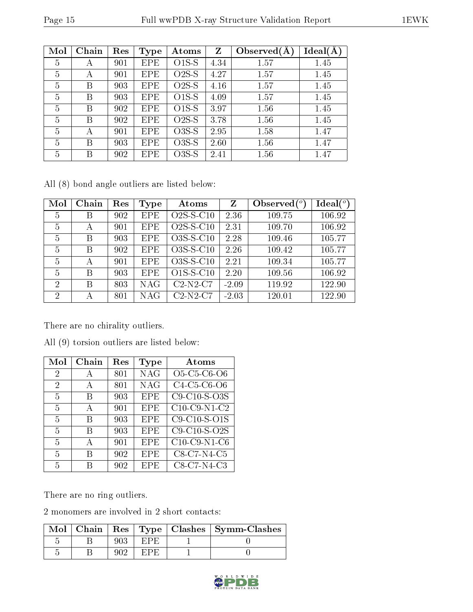| Mol | Chain | Res | <b>Type</b> | Atoms   | Z    | Observed $(A)$ | Ideal(A) |
|-----|-------|-----|-------------|---------|------|----------------|----------|
| 5   | А     | 901 | <b>EPE</b>  | $O1S-S$ | 4.34 | 1.57           | 1.45     |
| 5   | А     | 901 | <b>EPE</b>  | $O2S-S$ | 4.27 | 1.57           | 1.45     |
| 5   | В     | 903 | <b>EPE</b>  | $O2S-S$ | 4.16 | 1.57           | 1.45     |
| 5   | В     | 903 | <b>EPE</b>  | $O1S-S$ | 4.09 | 1.57           | 1.45     |
| 5   | B     | 902 | <b>EPE</b>  | $O1S-S$ | 3.97 | 1.56           | 1.45     |
| 5   | B     | 902 | <b>EPE</b>  | $O2S-S$ | 3.78 | 1.56           | 1.45     |
| 5   | А     | 901 | <b>EPE</b>  | $O3S-S$ | 2.95 | 1.58           | 1.47     |
| 5   | В     | 903 | <b>EPE</b>  | $O3S-S$ | 2.60 | 1.56           | 1.47     |
| 5   | В     | 902 | EPE         | $O3S-S$ | 2.41 | 1.56           | 1.47     |

All (8) bond angle outliers are listed below:

| Mol            | Chain | Res | Type       | Atoms       | Z       | Observed $\binom{o}{c}$ | $Ideal(^o)$ |
|----------------|-------|-----|------------|-------------|---------|-------------------------|-------------|
| 5              | В     | 902 | <b>EPE</b> | $O2S-S-C10$ | 2.36    | 109.75                  | 106.92      |
| 5              | А     | 901 | <b>EPE</b> | $O2S-S-C10$ | 2.31    | 109.70                  | 106.92      |
| 5              | B     | 903 | <b>EPE</b> | O3S-S-C10   | 2.28    | 109.46                  | 105.77      |
| 5              | B     | 902 | <b>EPE</b> | O3S-S-C10   | 2.26    | 109.42                  | 105.77      |
| 5              | А     | 901 | <b>EPE</b> | O3S-S-C10   | 2.21    | 109.34                  | 105.77      |
| 5              | B     | 903 | <b>EPE</b> | $O1S-S-C10$ | 2.20    | 109.56                  | 106.92      |
| $\mathcal{D}$  | В     | 803 | <b>NAG</b> | $C2-N2-C7$  | $-2.09$ | 119.92                  | 122.90      |
| $\overline{2}$ | А     | 801 | <b>NAG</b> | $C2-N2-C7$  | $-2.03$ | 120.01                  | 122.90      |

There are no chirality outliers.

| Mol            | Chain | Res | Type       | Atoms                                                          |
|----------------|-------|-----|------------|----------------------------------------------------------------|
| 2              | А     | 801 | <b>NAG</b> | O <sub>5</sub> -C <sub>5</sub> -C <sub>6</sub> -O <sub>6</sub> |
| $\overline{2}$ | А     | 801 | <b>NAG</b> | C4-C5-C6-O6                                                    |
| 5              | B     | 903 | <b>EPE</b> | $C9-C10-S-O3S$                                                 |
| 5              | А     | 901 | <b>EPE</b> | $C10$ -C9-N1-C2                                                |
| 5              | B     | 903 | <b>EPE</b> | $C9-C10-S-O1S$                                                 |
| 5              | B     | 903 | EPE        | $C9-C10-S-O2S$                                                 |
| 5              | А     | 901 | <b>EPE</b> | $C10$ -C9-N1-C6                                                |
| 5              | B     | 902 | <b>EPE</b> | C8-C7-N4-C5                                                    |
| 5              | R     | 902 | EPE        | C8-C7-N4-C3                                                    |

All (9) torsion outliers are listed below:

There are no ring outliers.

2 monomers are involved in 2 short contacts:

|  |  | Mol   Chain   Res   Type   Clashes   Symm-Clashes |
|--|--|---------------------------------------------------|
|  |  |                                                   |
|  |  |                                                   |

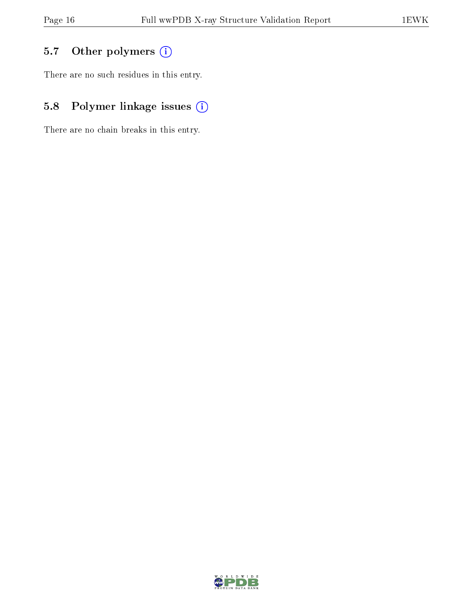### 5.7 [O](https://www.wwpdb.org/validation/2017/XrayValidationReportHelp#nonstandard_residues_and_ligands)ther polymers (i)

There are no such residues in this entry.

### 5.8 Polymer linkage issues (i)

There are no chain breaks in this entry.

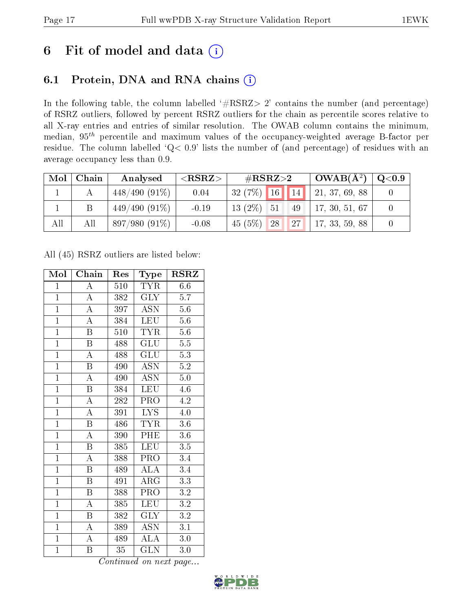## 6 Fit of model and data  $(i)$

### 6.1 Protein, DNA and RNA chains  $(i)$

In the following table, the column labelled  $#RSRZ> 2'$  contains the number (and percentage) of RSRZ outliers, followed by percent RSRZ outliers for the chain as percentile scores relative to all X-ray entries and entries of similar resolution. The OWAB column contains the minimum, median,  $95<sup>th</sup>$  percentile and maximum values of the occupancy-weighted average B-factor per residue. The column labelled ' $Q< 0.9$ ' lists the number of (and percentage) of residues with an average occupancy less than 0.9.

| Mol | Chain | Analysed        | $<$ RSRZ $>$ | # $RSRZ>2$            | $\mid$ OWAB( $\rm{\AA}^{2})$ $\mid$ | $\rm Q\textcolor{black}{<}0.9$ |
|-----|-------|-----------------|--------------|-----------------------|-------------------------------------|--------------------------------|
|     |       | $448/490(91\%)$ | 0.04         | $132(7\%)$ 16 14      | 21, 37, 69, 88                      |                                |
|     |       | $449/490(91\%)$ | $-0.19$      | $13(2\%)$ 51<br>49    | 17, 30, 51, 67                      |                                |
| All | All   | $897/980(91\%)$ | $-0.08$      | 45(5%)<br> 27 <br> 28 | 17, 33, 59, 88                      |                                |

All (45) RSRZ outliers are listed below:

| Mol            | Chain                     | Res | Type                      | <b>RSRZ</b>      |
|----------------|---------------------------|-----|---------------------------|------------------|
| $\mathbf{1}$   | A                         | 510 | <b>TYR</b>                | 6.6              |
| $\mathbf{1}$   | $\boldsymbol{A}$          | 382 | <b>GLY</b>                | 5.7              |
| $\overline{1}$ | $\overline{\rm A}$        | 397 | $\overline{\mathrm{ASN}}$ | $5.6\,$          |
| $\mathbf{1}$   | $\overline{\rm A}$        | 384 | <b>LEU</b>                | $5.6\,$          |
| $\overline{1}$ | $\overline{\mathrm{B}}$   | 510 | <b>TYR</b>                | 5.6              |
| $\mathbf{1}$   | $\boldsymbol{\mathrm{B}}$ | 488 | GLU                       | 5.5              |
| $\overline{1}$ | $\overline{\rm A}$        | 488 | <b>GLU</b>                | 5.3              |
| $\overline{1}$ | $\boldsymbol{\mathrm{B}}$ | 490 | <b>ASN</b>                | 5.2              |
| $\overline{1}$ | $\overline{\rm A}$        | 490 | ASN                       | $5.0\,$          |
| $\overline{1}$ | $\overline{\mathrm{B}}$   | 384 | LEU                       | 4.6              |
| $\overline{1}$ | $\overline{\rm A}$        | 282 | PRO                       | 4.2              |
| $\overline{1}$ | $\overline{\rm A}$        | 391 | $\overline{\text{LYS}}$   | $4.0\,$          |
| $\overline{1}$ | $\overline{\mathrm{B}}$   | 486 | <b>TYR</b>                | 3.6              |
| $\overline{1}$ | $\overline{\rm A}$        | 390 | $\overline{\rm{PHE}}$     | $3.6\,$          |
| $\overline{1}$ | $\overline{\mathrm{B}}$   | 385 | <b>LEU</b>                | 3.5              |
| $\mathbf{1}$   | $\overline{\rm A}$        | 388 | PRO                       | 3.4              |
| $\overline{1}$ | $\overline{\mathrm{B}}$   | 489 | $\overline{\rm ALA}$      | $\overline{3.4}$ |
| $\mathbf{1}$   | $\overline{B}$            | 491 | ARG                       | $\overline{3.3}$ |
| $\overline{1}$ | $\overline{\mathrm{B}}$   | 388 | PRO                       | $\overline{3.2}$ |
| $\overline{1}$ | A                         | 385 | <b>LEU</b>                | 3.2              |
| $\overline{1}$ | $\overline{B}$            | 382 | <b>GLY</b>                | $\overline{3.2}$ |
| $\overline{1}$ | A                         | 389 | ASN                       | 3.1              |
| $\overline{1}$ | $\boldsymbol{A}$          | 489 | <b>ALA</b>                | $3.0\,$          |
| $\mathbf{1}$   | B                         | 35  | <b>GLN</b>                | 3.0              |

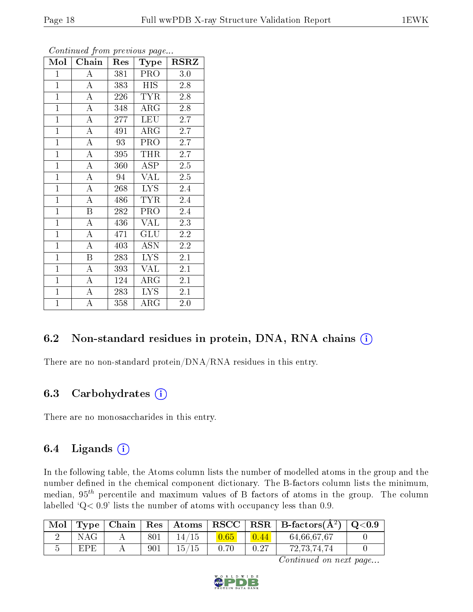| Mol            | Chain              | Res | <b>Type</b> | <b>RSRZ</b>      |
|----------------|--------------------|-----|-------------|------------------|
| $\mathbf{1}$   | А                  | 381 | <b>PRO</b>  | 3.0              |
| $\overline{1}$ | $\boldsymbol{A}$   | 383 | <b>HIS</b>  | 2.8              |
| $\overline{1}$ | $\overline{\rm A}$ | 226 | <b>TYR</b>  | 2.8              |
| $\mathbf{1}$   | A                  | 348 | $\rm{ARG}$  | 2.8              |
| $\overline{1}$ | $\overline{\rm A}$ | 277 | <b>LEU</b>  | 2.7              |
| $\overline{1}$ | $\boldsymbol{A}$   | 491 | $\rm{ARG}$  | 2.7              |
| $\mathbf{1}$   | $\boldsymbol{A}$   | 93  | PRO         | 2.7              |
| $\mathbf{1}$   | $\overline{\rm A}$ | 395 | THR         | 2.7              |
| $\mathbf{1}$   | $\overline{\rm A}$ | 360 | ASP         | 2.5              |
| $\overline{1}$ | $\overline{\rm A}$ | 94  | <b>VAL</b>  | $2.\overline{5}$ |
| $\mathbf{1}$   | $\boldsymbol{A}$   | 268 | <b>LYS</b>  | 2.4              |
| $\mathbf{1}$   | $\overline{\rm A}$ | 486 | <b>TYR</b>  | 2.4              |
| $\mathbf{1}$   | B                  | 282 | PRO         | 2.4              |
| $\mathbf{1}$   | $\boldsymbol{A}$   | 436 | <b>VAL</b>  | 2.3              |
| $\mathbf{1}$   | $\overline{\rm A}$ | 471 | GLU         | 2.2              |
| $\overline{1}$ | $\boldsymbol{A}$   | 403 | <b>ASN</b>  | 2.2              |
| $\mathbf{1}$   | B                  | 283 | <b>LYS</b>  | 2.1              |
| $\mathbf{1}$   | A                  | 393 | <b>VAL</b>  | 2.1              |
| $\overline{1}$ | $\overline{\rm A}$ | 124 | $\rm{ARG}$  | 2.1              |
| $\overline{1}$ | $\overline{\rm A}$ | 283 | <b>LYS</b>  | 2.1              |
| $\overline{1}$ | A                  | 358 | $\rm{ARG}$  | 2.0              |

#### 6.2 Non-standard residues in protein, DNA, RNA chains (i)

There are no non-standard protein/DNA/RNA residues in this entry.

#### 6.3 Carbohydrates (i)

There are no monosaccharides in this entry.

#### 6.4 Ligands  $(i)$

In the following table, the Atoms column lists the number of modelled atoms in the group and the number defined in the chemical component dictionary. The B-factors column lists the minimum, median,  $95<sup>th</sup>$  percentile and maximum values of B factors of atoms in the group. The column labelled  $Q < 0.9$ ' lists the number of atoms with occupancy less than 0.9.

| Mol |            | $\top$ ype   Chain |     |       |      |                | $\mid {\,\rm Res\,}\mid {\,\rm Atoms\,} \mid {\,\rm RSCC\,}\mid {\,\rm RSR\,}\mid {\,\rm B\text{-}factors}({\rm A}^2)\mid$ | $\mid$ Q<0.9 |
|-----|------------|--------------------|-----|-------|------|----------------|----------------------------------------------------------------------------------------------------------------------------|--------------|
|     | NAG        |                    | 801 |       |      | $\boxed{0.44}$ | 64,66,67,67                                                                                                                |              |
|     | <b>EPE</b> |                    | 901 | 15/15 | 0.70 | 0.27           | 72, 73, 74, 74                                                                                                             |              |